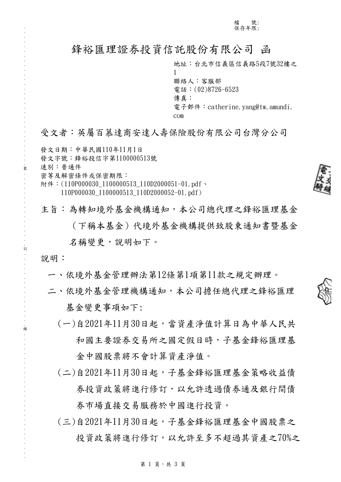(三)自2021年11月30日起,子基金鋒裕匯理基金中國股票之 投資政策將進行修訂,以允許至多不超過其資產之70%之

# 第 $1$ 頁,共 $3$ 頁

主旨:為轉知境外基金機構通知,本公司總代理之鋒裕匯理基金 (下稱本基金)代境外基金機構提供致股東通知書暨基金 名稱變更,說明如下。

說明:

速別:普通件

發文日期:中華民國110年11月1日

發文字號:鋒裕投信字第1100000513號

. . . . . . . . . . . . . . . . . . . . . . . . . . . . . . 裝 . . . . . . . . . . . . . . . . 訂 . . . . . . . . . . . . . . . . 線 . . . . . . . . . . . . . . . . . . . . . . . . . . .

- 一、依境外基金管理辦法第12條第1項第11款之規定辦理。
- 二、依境外基金管理機構通知,本公司擔任總代理之鋒裕匯理 基金變更事項如下:
	- (一)自2021年11月30日起,當資產淨值計算日為中華人民共 和國主要證券交易所之國定假日時,子基金鋒裕匯理基 金中國股票將不會計算資產淨值。

(二)自2021年11月30日起,子基金鋒裕匯理基金策略收益債

券投資政策將進行修訂,以允許透過債券通及銀行間債

- 密等及解密條件或保密期限: 附件: (110P000030\_1100000513\_110D2000051-01.pdf、 110P000030\_1100000513\_110D2000052-01.pdf)
- 受文者:英屬百慕達商安達人壽保險股份有限公司台灣分公司
- 地址:台北市信義區信義路5段7號32樓之 1 聯絡人:客服部 電話: (02)8726-6523 傳真: 電子郵件: catherine. yang@tw. amundi.

鋒裕匯理證券投資信託股份有限公司 函

com

檔 號: 保存年限:



9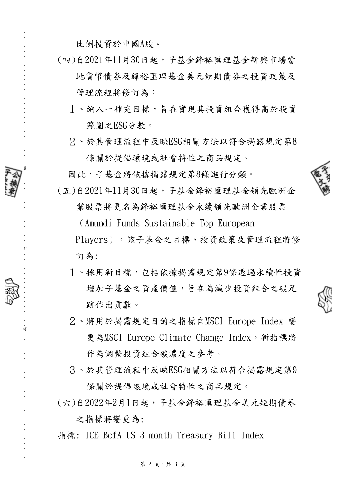比例投資於中國A股。

. . . . . . . . . . . . . . . . . . . . . . . . . . . . . . 裝 . . . . . . . . . . . . . . . . 訂 . . . . . . . . . . . . . . . . 線 . . . . . . . . . . . . . . . . . . . . . . . . . . .

33

- (四)自2021年11月30日起,子基金鋒裕匯理基金新興市場當 地貨幣債券及鋒裕匯理基金美元短期債券之投資政策及 管理流程將修訂為:
	- 1、納入一補充目標,旨在實現其投資組合獲得高於投資 範圍之ESG分數。
	- 2、於其管理流程中反映ESG相關方法以符合揭露規定第8 條關於提倡環境或社會特性之商品規定。

因此,子基金將依據揭露規定第8條進行分類。

(五)自2021年11月30日起,子基金鋒裕匯理基金領先歐洲企 業股票將更名為鋒裕匯理基金永續領先歐洲企業股票

(Amundi Funds Sustainable Top European

Players)。該子基金之目標、投資政策及管理流程將修 訂為:

1、採用新目標,句括依據揭露規定第9條透過永續性投資 增加子基金之資產價值,旨在為減少投資組合之碳足 跡作出貢獻。

0

2、將用於揭露規定目的之指標自MSCI Europe Index 變 更為MSCI Europe Climate Change Index。新指標將 作為調整投資組合碳濃度之參考。

3、於其管理流程中反映ESG相關方法以符合揭露規定第9 條關於提倡環境或社會特性之商品規定。

(六)自2022年2月1日起,子基金鋒裕匯理基金美元短期債券 之指標將變更為:

指標: ICE BofA US 3-month Treasury Bill Index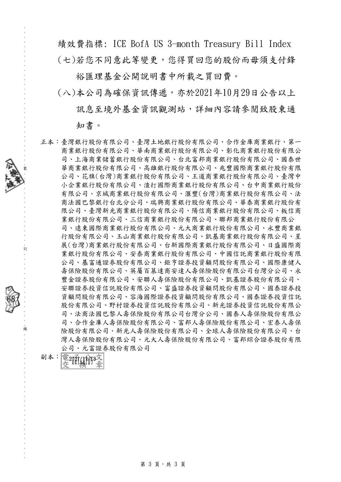績效費指標: ICE BofA US 3-month Treasury Bill Index (七)若您不同意此等變更,您得買回您的股份而毋須支付鋒

裕匯理基金公開說明書中所載之買回費。

(八)本公司為確保資訊傳遞,亦於2021年10月29日公告以上 訊息至境外基金資訊觀測站,詳細內容請參閱致股東通

# 知書。

. . . . . . . . . . . . . . . . . . . . . . . . . . . . . . 裝 . . . . . . . . . . . . . . . . 訂 . . . . . . . . . . . . . . . . 線 . . . . . . . . . . . . . . . . . . . . . . . . . . .

68

正本:臺灣銀行股份有限公司、臺灣土地銀行股份有限公司、合作金庫商業銀行、第一 商業銀行股份有限公司、華南商業銀行股份有限公司、彰化商業銀行股份有限公 司、上海商業儲蓄銀行股份有限公司、台北富邦商業銀行股份有限公司、國泰世 華商業銀行股份有限公司、高雄銀行股份有限公司、兆豐國際商業銀行股份有限 公司、花旗(台灣)商業銀行股份有限公司、王道商業銀行股份有限公司、臺灣中 小企業銀行股份有限公司、渣打國際商業銀行股份有限公司、台中商業銀行股份 有限公司、京城商業銀行股份有限公司、滙豐(台灣)商業銀行股份有限公司、法 商法國巴黎銀行台北分公司、瑞興商業銀行股份有限公司、華泰商業銀行股份有 限公司、臺灣新光商業銀行股份有限公司、陽信商業銀行股份有限公司、板信商 業銀行股份有限公司、三信商業銀行股份有限公司、聯邦商業銀行股份有限公 司、遠東國際商業銀行股份有限公司、元大商業銀行股份有限公司、永豐商業銀 行股份有限公司、玉山商業銀行股份有限公司、凱基商業銀行股份有限公司、星 展(台灣)商業銀行股份有限公司、台新國際商業銀行股份有限公司、日盛國際商 業銀行股份有限公司、安泰商業銀行股份有限公司、中國信託商業銀行股份有限 公司、基富通證券股份有限公司、鉅亨證券投資顧問股份有限公司、國際康健人 壽保險股份有限公司、英屬百慕達商安達人壽保險股份有限公司台灣分公司、永 豐金證券股份有限公司、安聯人壽保險股份有限公司、凱基證券股份有限公司、 安聯證券投資信託股份有限公司、富盛證券投資顧問股份有限公司、國泰證券投 資顧問股份有限公司、容海國際證券投資顧問股份有限公司、國泰證券投資信託 股份有限公司、野村證券投資信託股份有限公司、新光證券投資信託股份有限公 司、法商法國巴黎人壽保險股份有限公司台灣分公司、國泰人壽保險股份有限公 司、合作金庫人壽保險股份有限公司、富邦人壽保險股份有限公司、宏泰人壽保 險股份有限公司、新光人壽保險股份有限公司、全球人壽保險股份有限公司、台 灣人壽保險股份有限公司、元大人壽保險股份有限公司、富邦綜合證券股份有限 公司、元富證券股份有限公司

副本: 電20和4493文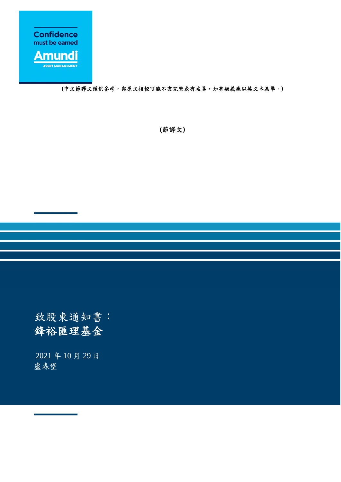

**(**中文節譯文僅供參考,與原文相較可能不盡完整或有歧異,如有疑義應以英文本為準。**)**

**(**節譯文**)** 

# 致股東通知書: 鋒裕匯理基金

 2021 年 10 月 29 日 盧森堡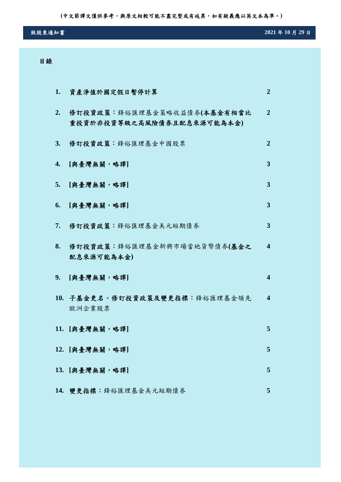**(**中文節譯文僅供參考,與原文相較可能不盡完整或有歧異,如有疑義應以英文本為準。**)** 

# 致股東通知書 **2021** 年 **10** 月 **29** 日

# 目錄

| 1. | 資產淨值於國定假日暫停計算                                             | $\overline{2}$             |
|----|-----------------------------------------------------------|----------------------------|
| 2. | 修訂投資政策:鋒裕匯理基金策略收益債券(本基金有相當比<br>重投資於非投資等級之高風險債券且配息來源可能為本金) | $\overline{2}$             |
| 3. | 修訂投資政策:鋒裕匯理基金中國股票                                         | $\overline{2}$             |
| 4. | [與臺灣無關,略譯]                                                | $\overline{3}$             |
| 5. | [與臺灣無關,略譯]                                                | 3                          |
| 6. | [與臺灣無關,略譯]                                                | $\overline{3}$             |
| 7. | 修訂投資政策:鋒裕匯理基金美元短期債券                                       | 3                          |
| 8. | 修訂投資政策:鋒裕匯理基金新興市場當地貨幣債券(基金之<br>配息來源可能為本金)                 | $\overline{\mathbf{4}}$    |
| 9. | [與臺灣無關,略譯]                                                | $\boldsymbol{\mathcal{L}}$ |
|    | 10. 子基金更名、修訂投資政策及變更指標:鋒裕匯理基金領先<br>歐洲企業股票                  | $\overline{\mathbf{4}}$    |
|    | 11. [與臺灣無關,略譯]                                            | 5                          |
|    | 12. [與臺灣無關,略譯]                                            | 5                          |
|    | 13. [與臺灣無關,略譯]                                            | 5                          |
|    | 14. 變更指標:鋒裕匯理基金美元短期債券                                     | 5                          |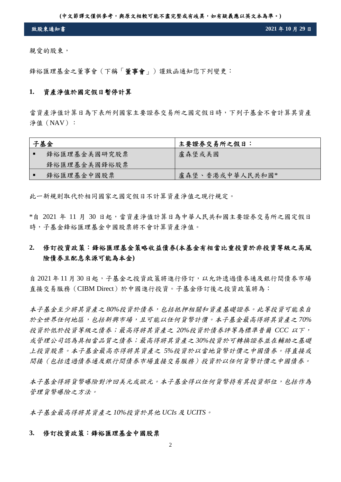**(**中文節譯文僅供參考,與原文相較可能不盡完整或有歧異,如有疑義應以英文本為準。**)**

親愛的股東,

鋒裕匯理基金之董事會(下稱「董事會」)謹致函通知您下列變更:

# **1.** 資產淨值於國定假日暫停計算

當資產淨值計算日為下表所列國家主要證券交易所之國定假日時,下列子基金不會計算其資產 淨值(NAV):

| 子基金 |              | 主要證券交易所之假日:     |  |
|-----|--------------|-----------------|--|
|     | 鋒裕匯理基金美國研究股票 | 盧森堡或美國          |  |
|     | 鋒裕匯理基金美國鋒裕股票 |                 |  |
|     | 鋒裕匯理基金中國股票   | 盧森堡、香港或中華人民共和國* |  |

此一新規則取代於相同國家之國定假日不計算資產淨值之現行規定。

\*自 2021 年 11 月 30 日起,當資產淨值計算日為中華人民共和國主要證券交易所之國定假日 時,子基金鋒裕匯理基金中國股票將不會計算資產淨值。

# **2.** 修訂投資政策:鋒裕匯理基金策略收益債券**(**本基金有相當比重投資於非投資等級之高風 險債券且配息來源可能為本金**)**

自 2021年11月30日起,子基金之投資政策將進行修訂,以允許透過債券通及銀行間債券市場 直接交易服務(CIBM Direct)於中國進行投資。子基金修訂後之投資政策將為:

本子基金至少將其資產之 *80%*投資於債券,包括抵押相關和資產基礎證券。此等投資可能來自 於全世界任何地區,包括新興市場,且可能以任何貨幣計價。本子基金最高得將其資產之 *70%* 投資於低於投資等級之債券;最高得將其資產之 *20%*投資於債券評等為標準普爾 *CCC* 以下, 或管理公司認為具相當品質之債券;最高得將其資產之 *30%*投資於可轉換證券並在輔助之基礎 上投資股票。本子基金最高亦得將其資產之 *5%*投資於以當地貨幣計價之中國債券。得直接或 間接(包括透過債券通及銀行間債券市場直接交易服務)投資於以任何貨幣計價之中國債券。

本子基金得將貨幣曝險對沖回美元或歐元。本子基金得以任何貨幣持有其投資部位,包括作為 管理貨幣曝險之方法。

本子基金最高得將其資產之 *10%*投資於其他 *UCIs* 及 *UCITS*。

# **3.** 修訂投資政策:鋒裕匯理基金中國股票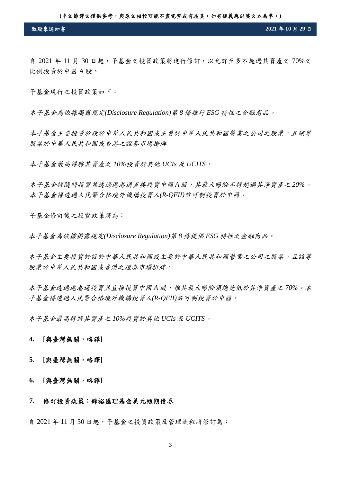自 2021 年 11 月 30 日起,子基金之投資政策將進行修訂,以允許至多不超過其資產之 70%之 比例投資於中國 A 股。

子基金現行之投資政策如下:

本子基金為依據揭露規定*(Disclosure Regulation)*第 *8* 條推行 *ESG* 特性之金融商品。

本子基金主要投資於設於中華人民共和國或主要於中華人民共和國營業之公司之股票,且該等 股票於中華人民共和國或香港之證券市場掛牌。

本子基金最高得將其資產之 *10%*投資於其他 *UCIs* 及 *UCITS*。

本子基金得隨時投資並透過滬港通直接投資中國 *A* 股,其最大曝險不得超過其淨資產之 *20%*。 本子基金得透過人民幣合格境外機構投資人*(R-QFII)*許可制投資於中國。

子基金修訂後之投資政策將為:

本子基金為依據揭露規定*(Disclosure Regulation)*第 *8* 條提倡 *ESG* 特性之金融商品。

本子基金主要投資於設於中華人民共和國或主要於中華人民共和國營業之公司之股票,且該等 股票於中華人民共和國或香港之證券市場掛牌。

本子基金透過滬港通投資並直接投資中國 *A* 股,惟其最大曝險須總是低於其淨資產之 *70%*。本 子基金得透過人民幣合格境外機構投資人*(R-QFII)*許可制投資於中國。

本子基金最高得將其資產之 *10%*投資於其他 *UCIs* 及 *UCITS*。

### **4. [**與臺灣無關,略譯**]**

**5. [**與臺灣無關,略譯**]** 

## **6. [**與臺灣無關,略譯**]**

# **7.** 修訂投資政策:鋒裕匯理基金美元短期債券

自 2021年11月30日起,子基金之投資政策及管理流程將修訂為: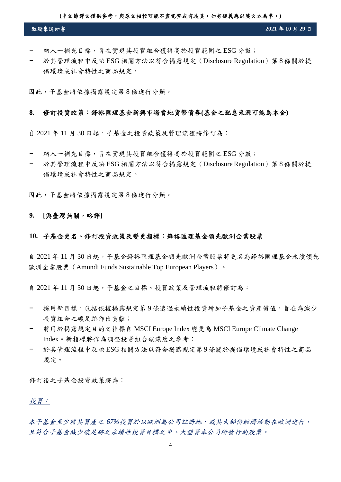- − 納入一補充目標,旨在實現其投資組合獲得高於投資範圍之 ESG 分數;
- − 於其管理流程中反映 ESG 相關方法以符合揭露規定(Disclosure Regulation)第 8 條關於提 倡環境或社會特性之商品規定。

因此,子基金將依據揭露規定第 8 條進行分類。

## **8.** 修訂投資政策:鋒裕匯理基金新興市場當地貨幣債券**(**基金之配息來源可能為本金**)**

自 2021 年 11 月 30 日起,子基金之投資政策及管理流程將修訂為:

- − 納入一補充目標,旨在實現其投資組合獲得高於投資範圍之 ESG 分數;
- − 於其管理流程中反映 ESG 相關方法以符合揭露規定(Disclosure Regulation)第 8 條關於提 倡環境或社會特性之商品規定。

因此,子基金將依據揭露規定第 8 條進行分類。

# **9. [**與臺灣無關,略譯**]**

# **10.** 子基金更名、修訂投資政策及變更指標:鋒裕匯理基金領先歐洲企業股票

自 2021年11月30日起,子基金鋒裕匯理基金領先歐洲企業股票將更名為鋒裕匯理基金永續領先 歐洲企業股票(Amundi Funds Sustainable Top European Players)。

自 2021 年 11 月 30 日起,子基金之目標、投資政策及管理流程將修訂為:

- 採用新目標,包括依據揭露規定第9條透過永續性投資增加子基金之資產價值,旨在為減少 投資組合之碳足跡作出貢獻;
- 將用於揭露規定目的之指標自 MSCI Europe Index 變更為 MSCI Europe Climate Change Index。新指標將作為調整投資組合碳濃度之參考;
- − 於其管理流程中反映 ESG相關方法以符合揭露規定第 9條關於提倡環境或社會特性之商品 規定。

修訂後之子基金投資政策將為:

# 投資:

本子基金至少將其資產之 *67%*投資於以歐洲為公司註冊地、或其大部份經濟活動在歐洲進行, 且符合子基金減少碳足跡之永續性投資目標之中、大型資本公司所發行的股票。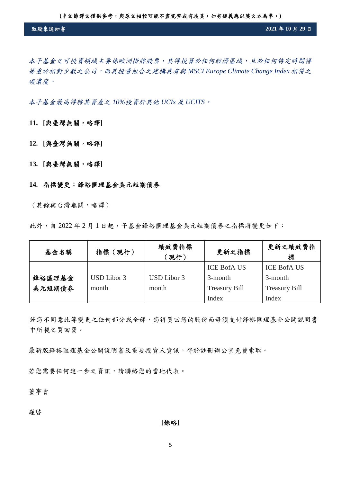本子基金之可投資領域主要係歐洲掛牌股票,其得投資於任何經濟區域,且於任何特定時間得 著重於相對少數之公司,而其投資組合之建構具有與 *MSCI Europe Climate Change Index* 相符之 碳濃度。

本子基金最高得將其資產之 *10%*投資於其他 *UCIs* 及 *UCITS*。

**11. [**與臺灣無關,略譯**]** 

- **12. [**與臺灣無關,略譯**]**
- **13. [**與臺灣無關,略譯**]**

## **14.** 指標變更:鋒裕匯理基金美元短期債券

(其餘與台灣無關,略譯)

此外,自 2022年2月1日起,子基金鋒裕匯理基金美元短期債券之指標將變更如下:

| 基金名稱   | 指標 (現行)     | 績效費指標<br>[現行)      | 更新之指標                | 更新之績效費指<br>標         |
|--------|-------------|--------------------|----------------------|----------------------|
|        |             |                    | <b>ICE BofA US</b>   | <b>ICE BofA US</b>   |
| 鋒裕匯理基金 | USD Libor 3 | <b>USD</b> Libor 3 | 3-month              | 3-month              |
| 美元短期債券 | month       | month              | <b>Treasury Bill</b> | <b>Treasury Bill</b> |
|        |             |                    | Index                | Index                |

若您不同意此等變更之任何部分或全部,您得買回您的股份而毋須支付鋒裕匯理基金公開說明書 中所載之買回費。

最新版鋒裕匯理基金公開說明書及重要投資人資訊,得於註冊辦公室免費索取。

若您需要任何進一步之資訊,請聯絡您的當地代表。

# 董事會

謹啓

**[**餘略**]** 

5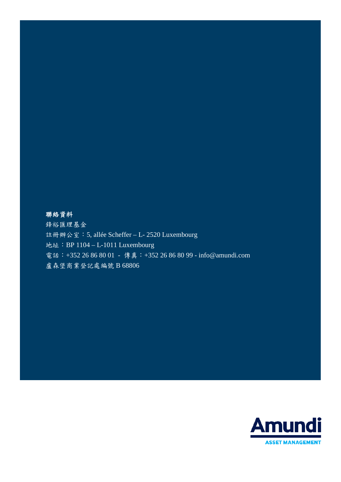# 聯絡資料

鋒裕匯理基金 註冊辦公室:5, allée Scheffer – L- 2520 Luxembourg 地址:BP 1104 – L-1011 Luxembourg 電話: +352 26 86 80 01 - 傳真: +352 26 86 80 99 - info@amundi.com 盧森堡商業登記處編號 B 68806

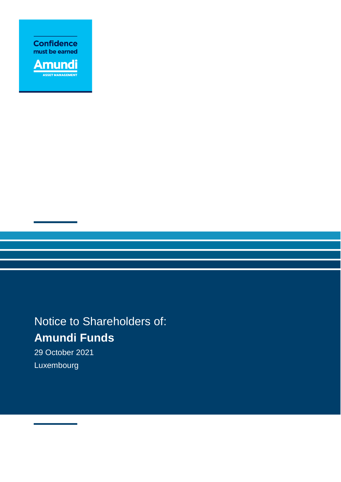



# Notice to Shareholders of: **Amundi Funds**

29 October 2021 Luxembourg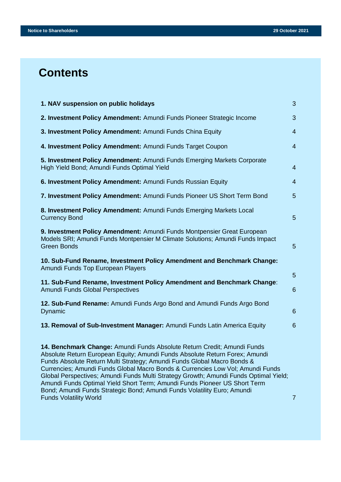# **Contents**

| 1. NAV suspension on public holidays                                                                                                                                                                                                                                                                                                                                                                                                                                                                                                                                                                 | 3              |
|------------------------------------------------------------------------------------------------------------------------------------------------------------------------------------------------------------------------------------------------------------------------------------------------------------------------------------------------------------------------------------------------------------------------------------------------------------------------------------------------------------------------------------------------------------------------------------------------------|----------------|
| 2. Investment Policy Amendment: Amundi Funds Pioneer Strategic Income                                                                                                                                                                                                                                                                                                                                                                                                                                                                                                                                | 3              |
| 3. Investment Policy Amendment: Amundi Funds China Equity                                                                                                                                                                                                                                                                                                                                                                                                                                                                                                                                            | $\overline{4}$ |
| 4. Investment Policy Amendment: Amundi Funds Target Coupon                                                                                                                                                                                                                                                                                                                                                                                                                                                                                                                                           | $\overline{4}$ |
| 5. Investment Policy Amendment: Amundi Funds Emerging Markets Corporate<br>High Yield Bond; Amundi Funds Optimal Yield                                                                                                                                                                                                                                                                                                                                                                                                                                                                               | $\overline{4}$ |
| 6. Investment Policy Amendment: Amundi Funds Russian Equity                                                                                                                                                                                                                                                                                                                                                                                                                                                                                                                                          | $\overline{4}$ |
| 7. Investment Policy Amendment: Amundi Funds Pioneer US Short Term Bond                                                                                                                                                                                                                                                                                                                                                                                                                                                                                                                              | $\overline{5}$ |
| 8. Investment Policy Amendment: Amundi Funds Emerging Markets Local<br><b>Currency Bond</b>                                                                                                                                                                                                                                                                                                                                                                                                                                                                                                          | 5              |
| 9. Investment Policy Amendment: Amundi Funds Montpensier Great European<br>Models SRI; Amundi Funds Montpensier M Climate Solutions; Amundi Funds Impact<br><b>Green Bonds</b>                                                                                                                                                                                                                                                                                                                                                                                                                       | 5              |
| 10. Sub-Fund Rename, Investment Policy Amendment and Benchmark Change:<br>Amundi Funds Top European Players                                                                                                                                                                                                                                                                                                                                                                                                                                                                                          | 5              |
| 11. Sub-Fund Rename, Investment Policy Amendment and Benchmark Change:<br>Amundi Funds Global Perspectives                                                                                                                                                                                                                                                                                                                                                                                                                                                                                           | 6              |
| 12. Sub-Fund Rename: Amundi Funds Argo Bond and Amundi Funds Argo Bond<br>Dynamic                                                                                                                                                                                                                                                                                                                                                                                                                                                                                                                    | 6              |
| 13. Removal of Sub-Investment Manager: Amundi Funds Latin America Equity                                                                                                                                                                                                                                                                                                                                                                                                                                                                                                                             | 6              |
| 14. Benchmark Change: Amundi Funds Absolute Return Credit; Amundi Funds<br>Absolute Return European Equity; Amundi Funds Absolute Return Forex; Amundi<br>Funds Absolute Return Multi Strategy; Amundi Funds Global Macro Bonds &<br>Currencies; Amundi Funds Global Macro Bonds & Currencies Low Vol; Amundi Funds<br>Global Perspectives; Amundi Funds Multi Strategy Growth; Amundi Funds Optimal Yield;<br>Amundi Funds Optimal Yield Short Term; Amundi Funds Pioneer US Short Term<br>Bond; Amundi Funds Strategic Bond; Amundi Funds Volatility Euro; Amundi<br><b>Funds Volatility World</b> | $\mathbf{7}$   |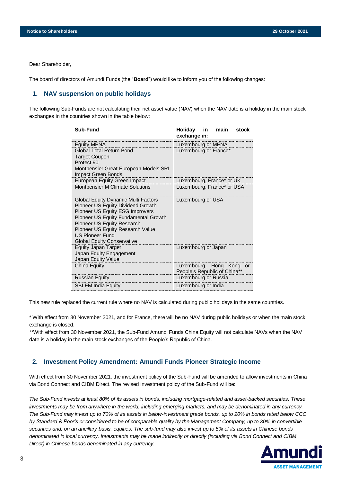Dear Shareholder,

The board of directors of Amundi Funds (the "**Board**") would like to inform you of the following changes:

# **1. NAV suspension on public holidays**

The following Sub-Funds are not calculating their net asset value (NAV) when the NAV date is a holiday in the main stock exchanges in the countries shown in the table below:

| Sub-Fund                                                                                                                                                                                                                                                                             | Holiday<br>in<br>main<br>stock<br>exchange in:                |
|--------------------------------------------------------------------------------------------------------------------------------------------------------------------------------------------------------------------------------------------------------------------------------------|---------------------------------------------------------------|
| <b>Equity MENA</b>                                                                                                                                                                                                                                                                   | Luxembourg or MENA                                            |
| <b>Global Total Return Bond</b><br><b>Target Coupon</b><br>Protect 90<br>Montpensier Great European Models SRI<br>Impact Green Bonds                                                                                                                                                 | Luxembourg or France*                                         |
| European Equity Green Impact                                                                                                                                                                                                                                                         | Luxembourg, France* or UK                                     |
| Montpensier M Climate Solutions                                                                                                                                                                                                                                                      | Luxembourg, France* or USA                                    |
| Global Equity Dynamic Multi Factors<br>Pioneer US Equity Dividend Growth<br>Pioneer US Equity ESG Improvers<br>Pioneer US Equity Fundamental Growth<br>Pioneer US Equity Research<br>Pioneer US Equity Research Value<br><b>US Pioneer Fund</b><br><b>Global Equity Conservative</b> | Luxembourg or USA                                             |
| <b>Equity Japan Target</b><br>Japan Equity Engagement<br>Japan Equity Value                                                                                                                                                                                                          | Luxembourg or Japan                                           |
| China Equity                                                                                                                                                                                                                                                                         | Luxembourg, Hong Kong<br>- or<br>People's Republic of China** |
| <b>Russian Equity</b>                                                                                                                                                                                                                                                                | Luxembourg or Russia                                          |
| <b>SBI FM India Equity</b>                                                                                                                                                                                                                                                           | Luxembourg or India                                           |

This new rule replaced the current rule where no NAV is calculated during public holidays in the same countries.

\* With effect from 30 November 2021, and for France, there will be no NAV during public holidays or when the main stock exchange is closed.

\*\*With effect from 30 November 2021, the Sub-Fund Amundi Funds China Equity will not calculate NAVs when the NAV date is a holiday in the main stock exchanges of the People's Republic of China.

# **2. Investment Policy Amendment: Amundi Funds Pioneer Strategic Income**

With effect from 30 November 2021, the investment policy of the Sub-Fund will be amended to allow investments in China via Bond Connect and CIBM Direct. The revised investment policy of the Sub-Fund will be:

*The Sub-Fund invests at least 80% of its assets in bonds, including mortgage-related and asset-backed securities. These investments may be from anywhere in the world, including emerging markets, and may be denominated in any currency. The Sub-Fund may invest up to 70% of its assets in below-investment grade bonds, up to 20% in bonds rated below CCC by Standard & Poor's or considered to be of comparable quality by the Management Company, up to 30% in convertible securities and, on an ancillary basis, equities. The sub-fund may also invest up to 5% of its assets in Chinese bonds denominated in local currency. Investments may be made indirectly or directly (including via Bond Connect and CIBM Direct) in Chinese bonds denominated in any currency.*

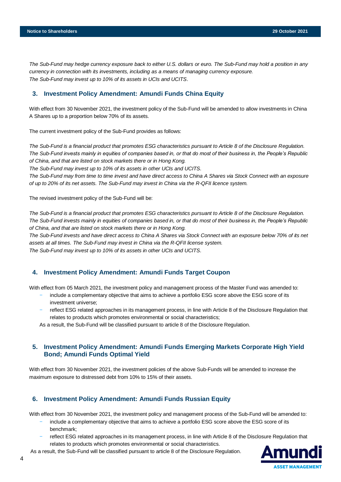*The Sub-Fund may hedge currency exposure back to either U.S. dollars or euro. The Sub-Fund may hold a position in any currency in connection with its investments, including as a means of managing currency exposure. The Sub-Fund may invest up to 10% of its assets in UCIs and UCITS*.

# **3. Investment Policy Amendment: Amundi Funds China Equity**

With effect from 30 November 2021, the investment policy of the Sub-Fund will be amended to allow investments in China A Shares up to a proportion below 70% of its assets.

The current investment policy of the Sub-Fund provides as follows:

*The Sub-Fund is a financial product that promotes ESG characteristics pursuant to Article 8 of the Disclosure Regulation. The Sub-Fund invests mainly in equities of companies based in, or that do most of their business in, the People's Republic of China, and that are listed on stock markets there or in Hong Kong.* 

*The Sub-Fund may invest up to 10% of its assets in other UCIs and UCITS*.

*The Sub-Fund may from time to time invest and have direct access to China A Shares via Stock Connect with an exposure of up to 20% of its net assets. The Sub-Fund may invest in China via the R-QFII licence system.*

The revised investment policy of the Sub-Fund will be:

*The Sub-Fund is a financial product that promotes ESG characteristics pursuant to Article 8 of the Disclosure Regulation. The Sub-Fund invests mainly in equities of companies based in, or that do most of their business in, the People's Republic of China, and that are listed on stock markets there or in Hong Kong.* 

*The Sub-Fund invests and have direct access to China A Shares via Stock Connect with an exposure below 70% of its net assets at all times. The Sub-Fund may invest in China via the R-QFII license system.*

*The Sub-Fund may invest up to 10% of its assets in other UCIs and UCITS*.

# **4. Investment Policy Amendment: Amundi Funds Target Coupon**

With effect from 05 March 2021, the investment policy and management process of the Master Fund was amended to:

- include a complementary objective that aims to achieve a portfolio ESG score above the ESG score of its investment universe;
- − reflect ESG related approaches in its management process, in line with Article 8 of the Disclosure Regulation that relates to products which promotes environmental or social characteristics;

As a result, the Sub-Fund will be classified pursuant to article 8 of the Disclosure Regulation.

# **5. Investment Policy Amendment: Amundi Funds Emerging Markets Corporate High Yield Bond; Amundi Funds Optimal Yield**

With effect from 30 November 2021, the investment policies of the above Sub-Funds will be amended to increase the maximum exposure to distressed debt from 10% to 15% of their assets.

# **6. Investment Policy Amendment: Amundi Funds Russian Equity**

With effect from 30 November 2021, the investment policy and management process of the Sub-Fund will be amended to:

- include a complementary objective that aims to achieve a portfolio ESG score above the ESG score of its benchmark;
- − reflect ESG related approaches in its management process, in line with Article 8 of the Disclosure Regulation that relates to products which promotes environmental or social characteristics.

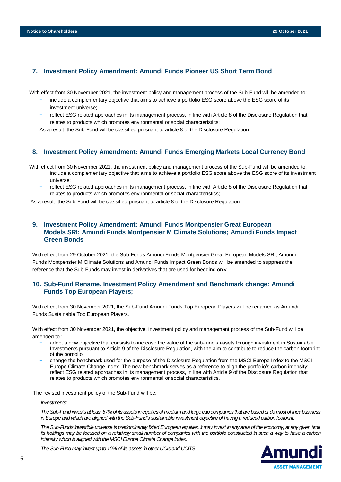# **7. Investment Policy Amendment: Amundi Funds Pioneer US Short Term Bond**

With effect from 30 November 2021, the investment policy and management process of the Sub-Fund will be amended to:

- include a complementary objective that aims to achieve a portfolio ESG score above the ESG score of its investment universe;
- − reflect ESG related approaches in its management process, in line with Article 8 of the Disclosure Regulation that relates to products which promotes environmental or social characteristics;

As a result, the Sub-Fund will be classified pursuant to article 8 of the Disclosure Regulation.

# **8. Investment Policy Amendment: Amundi Funds Emerging Markets Local Currency Bond**

With effect from 30 November 2021, the investment policy and management process of the Sub-Fund will be amended to:

- include a complementary objective that aims to achieve a portfolio ESG score above the ESG score of its investment universe;
- − reflect ESG related approaches in its management process, in line with Article 8 of the Disclosure Regulation that relates to products which promotes environmental or social characteristics;

As a result, the Sub-Fund will be classified pursuant to article 8 of the Disclosure Regulation.

# **9. Investment Policy Amendment: Amundi Funds Montpensier Great European Models SRI; Amundi Funds Montpensier M Climate Solutions; Amundi Funds Impact Green Bonds**

With effect from 29 October 2021, the Sub-Funds Amundi Funds Montpensier Great European Models SRI, Amundi Funds Montpensier M Climate Solutions and Amundi Funds Impact Green Bonds will be amended to suppress the reference that the Sub-Funds may invest in derivatives that are used for hedging only.

# **10. Sub-Fund Rename, Investment Policy Amendment and Benchmark change: Amundi Funds Top European Players;**

With effect from 30 November 2021, the Sub-Fund Amundi Funds Top European Players will be renamed as Amundi Funds Sustainable Top European Players.

With effect from 30 November 2021, the objective, investment policy and management process of the Sub-Fund will be amended to :

- adopt a new objective that consists to increase the value of the sub-fund's assets through investment in Sustainable Investments pursuant to Article 9 of the Disclosure Regulation, with the aim to contribute to reduce the carbon footprint of the portfolio;
- − change the benchmark used for the purpose of the Disclosure Regulation from the MSCI Europe Index to the MSCI Europe Climate Change Index. The new benchmark serves as a reference to align the portfolio's carbon intensity;
- − reflect ESG related approaches in its management process, in line with Article 9 of the Disclosure Regulation that relates to products which promotes environmental or social characteristics.

The revised investment policy of the Sub-Fund will be:

### *Investments:*

*The Sub-Fund invests at least 67% of its assets in equities of medium and large cap companies that are based or do most of their business in Europe and which are aligned with the Sub-Fund's sustainable investment objective of having a reduced carbon footprint.*

*The Sub-Funds investible universe is predominantly listed European equities, it may invest in any area of the economy, at any given time its holdings may be focused on a relatively small number of companies with the portfolio constructed in such a way to have a carbon intensity which is aligned with the MSCI Europe Climate Change Index.*

*The Sub-Fund may invest up to 10% of its assets in other UCIs and UCITS.*

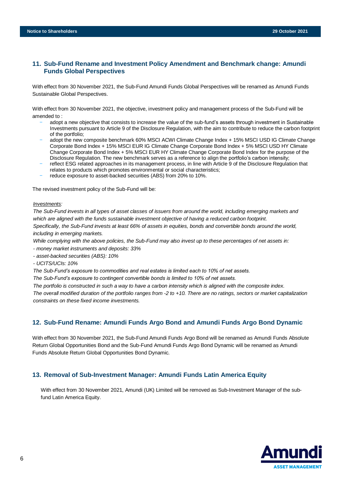# **11. Sub-Fund Rename and Investment Policy Amendment and Benchmark change: Amundi Funds Global Perspectives**

With effect from 30 November 2021, the Sub-Fund Amundi Funds Global Perspectives will be renamed as Amundi Funds Sustainable Global Perspectives.

With effect from 30 November 2021, the objective, investment policy and management process of the Sub-Fund will be amended to :

- adopt a new objective that consists to increase the value of the sub-fund's assets through investment in Sustainable Investments pursuant to Article 9 of the Disclosure Regulation, with the aim to contribute to reduce the carbon footprint of the portfolio;
- − adopt the new composite benchmark 60% MSCI ACWI Climate Change Index + 15% MSCI USD IG Climate Change Corporate Bond Index + 15% MSCI EUR IG Climate Change Corporate Bond Index + 5% MSCI USD HY Climate Change Corporate Bond Index + 5% MSCI EUR HY Climate Change Corporate Bond Index for the purpose of the Disclosure Regulation. The new benchmark serves as a reference to align the portfolio's carbon intensity;
- − reflect ESG related approaches in its management process, in line with Article 9 of the Disclosure Regulation that relates to products which promotes environmental or social characteristics;
- − reduce exposure to asset-backed securities (ABS) from 20% to 10%.

The revised investment policy of the Sub-Fund will be:

### *Investments:*

*The Sub-Fund invests in all types of asset classes of issuers from around the world, including emerging markets and which are aligned with the funds sustainable investment objective of having a reduced carbon footprint. Specifically, the Sub-Fund invests at least 66% of assets in equities, bonds and convertible bonds around the world, including in emerging markets.* 

*While complying with the above policies, the Sub-Fund may also invest up to these percentages of net assets in:*

*- money market instruments and deposits: 33%*

*- asset-backed securities (ABS): 10%*

*- UCITS/UCIs: 10%*

*The Sub-Fund's exposure to commodities and real estates is limited each to 10% of net assets.*

*The Sub-Fund's exposure to contingent convertible bonds is limited to 10% of net assets.*

*The portfolio is constructed in such a way to have a carbon intensity which is aligned with the composite index.* 

*The overall modified duration of the portfolio ranges from -2 to +10. There are no ratings, sectors or market capitalization constraints on these fixed income investments.*

# **12. Sub-Fund Rename: Amundi Funds Argo Bond and Amundi Funds Argo Bond Dynamic**

With effect from 30 November 2021, the Sub-Fund Amundi Funds Argo Bond will be renamed as Amundi Funds Absolute Return Global Opportunities Bond and the Sub-Fund Amundi Funds Argo Bond Dynamic will be renamed as Amundi Funds Absolute Return Global Opportunities Bond Dynamic.

## **13. Removal of Sub-Investment Manager: Amundi Funds Latin America Equity**

With effect from 30 November 2021, Amundi (UK) Limited will be removed as Sub-Investment Manager of the subfund Latin America Equity.

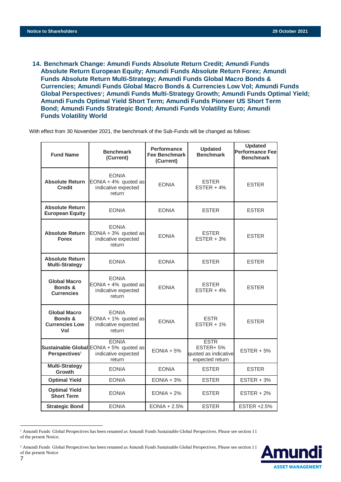**14. Benchmark Change: Amundi Funds Absolute Return Credit; Amundi Funds Absolute Return European Equity; Amundi Funds Absolute Return Forex; Amundi Funds Absolute Return Multi-Strategy; Amundi Funds Global Macro Bonds & Currencies; Amundi Funds Global Macro Bonds & Currencies Low Vol; Amundi Funds Global Perspectives<sup>1</sup> ; Amundi Funds Multi-Strategy Growth; Amundi Funds Optimal Yield; Amundi Funds Optimal Yield Short Term; Amundi Funds Pioneer US Short Term Bond; Amundi Funds Strategic Bond; Amundi Funds Volatility Euro; Amundi Funds Volatility World**

With effect from 30 November 2021, the benchmark of the Sub-Funds will be changed as follows:

| <b>Fund Name</b>                                        | <b>Benchmark</b><br>(Current)                                                            | <b>Performance</b><br><b>Fee Benchmark</b><br>(Current) | <b>Updated</b><br><b>Benchmark</b>                                 | <b>Updated</b><br><b>Performance Fee</b><br><b>Benchmark</b> |
|---------------------------------------------------------|------------------------------------------------------------------------------------------|---------------------------------------------------------|--------------------------------------------------------------------|--------------------------------------------------------------|
| <b>Absolute Return</b><br><b>Credit</b>                 | <b>EONIA</b><br>EONIA + 4% quoted as<br>indicative expected<br>return                    | <b>EONIA</b>                                            | <b>ESTER</b><br>$ESTER + 4%$                                       | <b>ESTER</b>                                                 |
| <b>Absolute Return</b><br><b>European Equity</b>        | <b>EONIA</b>                                                                             | <b>EONIA</b>                                            | <b>ESTER</b>                                                       | <b>ESTER</b>                                                 |
| <b>Absolute Return</b><br><b>Forex</b>                  | <b>EONIA</b><br>EONIA + 3% quoted as<br>indicative expected<br>return                    | <b>EONIA</b>                                            | <b>ESTER</b><br>$ESTER + 3%$                                       | <b>ESTER</b>                                                 |
| <b>Absolute Return</b><br><b>Multi-Strategy</b>         | <b>EONIA</b>                                                                             | <b>EONIA</b>                                            | <b>ESTER</b>                                                       | <b>ESTER</b>                                                 |
| <b>Global Macro</b><br>Bonds &<br><b>Currencies</b>     | <b>EONIA</b><br>EONIA + 4% quoted as<br>indicative expected<br>return                    | <b>EONIA</b>                                            | <b>ESTER</b><br>$ESTER + 4%$                                       | <b>ESTER</b>                                                 |
| Global Macro<br>Bonds &<br><b>Currencies Low</b><br>Vol | <b>EONIA</b><br>EONIA + 1% quoted as<br>indicative expected<br>return                    | <b>EONIA</b>                                            | <b>ESTR</b><br>$ESTER + 1%$                                        | <b>ESTER</b>                                                 |
| Perspectives <sup>2</sup>                               | <b>EONIA</b><br>Sustainable Global EONIA + 5% quoted as<br>indicative expected<br>return | $EONIA + 5%$                                            | <b>ESTR</b><br>ESTER+5%<br>quoted as indicative<br>expected return | $ESTER + 5%$                                                 |
| <b>Multi-Strategy</b><br>Growth                         | <b>EONIA</b>                                                                             | <b>EONIA</b>                                            | <b>ESTER</b>                                                       | <b>ESTER</b>                                                 |
| <b>Optimal Yield</b>                                    | <b>EONIA</b>                                                                             | $EONIA + 3%$                                            | <b>ESTER</b>                                                       | $ESTER + 3%$                                                 |
| <b>Optimal Yield</b><br><b>Short Term</b>               | <b>EONIA</b>                                                                             | $EONIA + 2%$                                            | <b>ESTER</b>                                                       | $ESTER + 2%$                                                 |
| <b>Strategic Bond</b>                                   | <b>EONIA</b>                                                                             | $EONIA + 2.5%$                                          | <b>ESTER</b>                                                       | ESTER +2.5%                                                  |

<sup>1</sup> Amundi Funds Global Perspectives has been renamed as Amundi Funds Sustainable Global Perspectives. Please see section 11 of the present Notice.

<sup>2</sup> Amundi Funds Global Perspectives has been renamed as Amundi Funds Sustainable Global Perspectives. Please see section 11 of the present Notice



 $\overline{a}$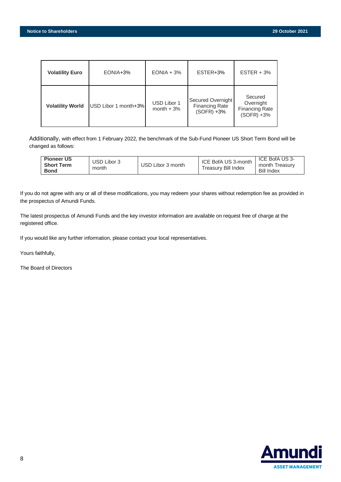| <b>Volatility Euro</b>  | EONIA+3%             | $EONIA + 3%$                       | ESTER+3%                                                    | $ESTER + 3%$                                                   |
|-------------------------|----------------------|------------------------------------|-------------------------------------------------------------|----------------------------------------------------------------|
| <b>Volatility World</b> | USD Libor 1 month+3% | <b>USD Libor 1</b><br>month $+3\%$ | Secured Overnight<br><b>Financing Rate</b><br>$(SOFF) + 3%$ | Secured<br>Overnight<br><b>Financing Rate</b><br>$(SOFF) + 3%$ |

Additionally, with effect from 1 February 2022, the benchmark of the Sub-Fund Pioneer US Short Term Bond will be changed as follows:

If you do not agree with any or all of these modifications, you may redeem your shares without redemption fee as provided in the prospectus of Amundi Funds.

The latest prospectus of Amundi Funds and the key investor information are available on request free of charge at the registered office.

If you would like any further information, please contact your local representatives.

Yours faithfully,

The Board of Directors